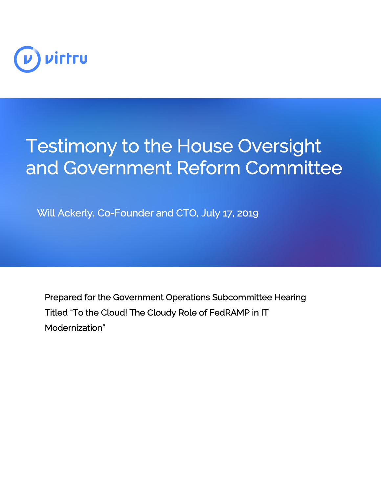

## Testimony to the House Oversight and Government Reform Committee

Will Ackerly, Co-Founder and CTO, July 17, 2019

Prepared for the Government Operations Subcommittee Hearing Titled "To the Cloud! The Cloudy Role of FedRAMP in IT Modernization"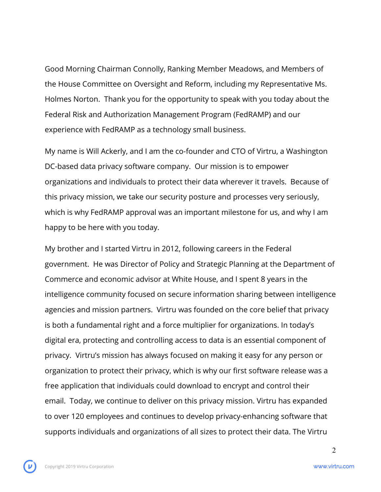Good Morning Chairman Connolly, Ranking Member Meadows, and Members of the House Committee on Oversight and Reform, including my Representative Ms. Holmes Norton. Thank you for the opportunity to speak with you today about the Federal Risk and Authorization Management Program (FedRAMP) and our experience with FedRAMP as a technology small business.

My name is Will Ackerly, and I am the co-founder and CTO of Virtru, a Washington DC-based data privacy software company. Our mission is to empower organizations and individuals to protect their data wherever it travels. Because of this privacy mission, we take our security posture and processes very seriously, which is why FedRAMP approval was an important milestone for us, and why I am happy to be here with you today.

My brother and I started Virtru in 2012, following careers in the Federal government. He was Director of Policy and Strategic Planning at the Department of Commerce and economic advisor at White House, and I spent 8 years in the intelligence community focused on secure information sharing between intelligence agencies and mission partners. Virtru was founded on the core belief that privacy is both a fundamental right and a force multiplier for organizations. In today's digital era, protecting and controlling access to data is an essential component of privacy. Virtru's mission has always focused on making it easy for any person or organization to protect their privacy, which is why our first software release was a free application that individuals could download to encrypt and control their email. Today, we continue to deliver on this privacy mission. Virtru has expanded to over 120 employees and continues to develop privacy-enhancing software that supports individuals and organizations of all sizes to protect their data. The Virtru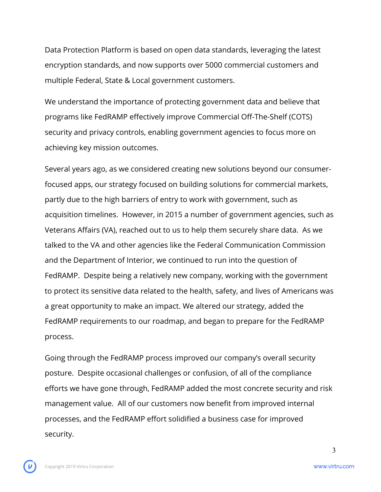Data Protection Platform is based on open data standards, leveraging the latest encryption standards, and now supports over 5000 commercial customers and multiple Federal, State & Local government customers.

We understand the importance of protecting government data and believe that programs like FedRAMP effectively improve Commercial Off-The-Shelf (COTS) security and privacy controls, enabling government agencies to focus more on achieving key mission outcomes.

Several years ago, as we considered creating new solutions beyond our consumerfocused apps, our strategy focused on building solutions for commercial markets, partly due to the high barriers of entry to work with government, such as acquisition timelines. However, in 2015 a number of government agencies, such as Veterans Affairs (VA), reached out to us to help them securely share data. As we talked to the VA and other agencies like the Federal Communication Commission and the Department of Interior, we continued to run into the question of FedRAMP. Despite being a relatively new company, working with the government to protect its sensitive data related to the health, safety, and lives of Americans was a great opportunity to make an impact. We altered our strategy, added the FedRAMP requirements to our roadmap, and began to prepare for the FedRAMP process.

Going through the FedRAMP process improved our company's overall security posture. Despite occasional challenges or confusion, of all of the compliance efforts we have gone through, FedRAMP added the most concrete security and risk management value. All of our customers now benefit from improved internal processes, and the FedRAMP effort solidified a business case for improved security.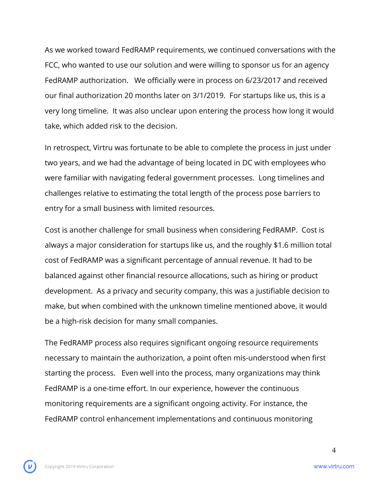As we worked toward FedRAMP requirements, we continued conversations with the FCC, who wanted to use our solution and were willing to sponsor us for an agency FedRAMP authorization. We officially were in process on 6/23/2017 and received our final authorization 20 months later on 3/1/2019. For startups like us, this is a very long timeline. It was also unclear upon entering the process how long it would take, which added risk to the decision.

In retrospect, Virtru was fortunate to be able to complete the process in just under two years, and we had the advantage of being located in DC with employees who were familiar with navigating federal government processes. Long timelines and challenges relative to estimating the total length of the process pose barriers to entry for a small business with limited resources.

Cost is another challenge for small business when considering FedRAMP. Cost is always a major consideration for startups like us, and the roughly \$1.6 million total cost of FedRAMP was a significant percentage of annual revenue. It had to be balanced against other financial resource allocations, such as hiring or product development. As a privacy and security company, this was a justifiable decision to make, but when combined with the unknown timeline mentioned above, it would be a high-risk decision for many small companies.

The FedRAMP process also requires significant ongoing resource requirements necessary to maintain the authorization, a point often mis-understood when first starting the process. Even well into the process, many organizations may think FedRAMP is a one-time effort. In our experience, however the continuous monitoring requirements are a significant ongoing activity. For instance, the FedRAMP control enhancement implementations and continuous monitoring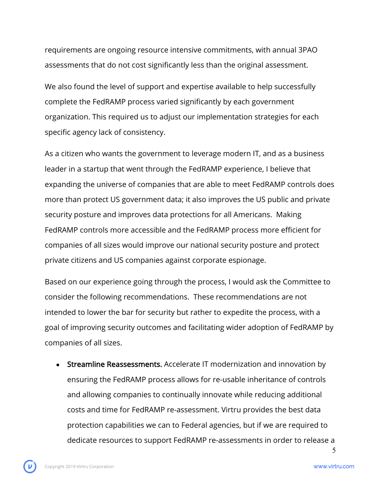requirements are ongoing resource intensive commitments, with annual 3PAO assessments that do not cost significantly less than the original assessment.

We also found the level of support and expertise available to help successfully complete the FedRAMP process varied significantly by each government organization. This required us to adjust our implementation strategies for each specific agency lack of consistency.

As a citizen who wants the government to leverage modern IT, and as a business leader in a startup that went through the FedRAMP experience, I believe that expanding the universe of companies that are able to meet FedRAMP controls does more than protect US government data; it also improves the US public and private security posture and improves data protections for all Americans. Making FedRAMP controls more accessible and the FedRAMP process more efficient for companies of all sizes would improve our national security posture and protect private citizens and US companies against corporate espionage.

Based on our experience going through the process, I would ask the Committee to consider the following recommendations. These recommendations are not intended to lower the bar for security but rather to expedite the process, with a goal of improving security outcomes and facilitating wider adoption of FedRAMP by companies of all sizes.

• Streamline Reassessments. Accelerate IT modernization and innovation by ensuring the FedRAMP process allows for re-usable inheritance of controls and allowing companies to continually innovate while reducing additional costs and time for FedRAMP re-assessment. Virtru provides the best data protection capabilities we can to Federal agencies, but if we are required to dedicate resources to support FedRAMP re-assessments in order to release a

5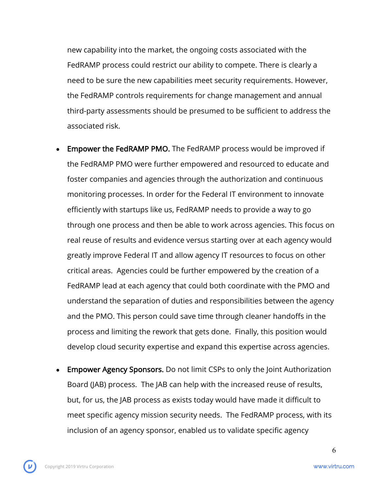new capability into the market, the ongoing costs associated with the FedRAMP process could restrict our ability to compete. There is clearly a need to be sure the new capabilities meet security requirements. However, the FedRAMP controls requirements for change management and annual third-party assessments should be presumed to be sufficient to address the associated risk.

- **Empower the FedRAMP PMO.** The FedRAMP process would be improved if the FedRAMP PMO were further empowered and resourced to educate and foster companies and agencies through the authorization and continuous monitoring processes. In order for the Federal IT environment to innovate efficiently with startups like us, FedRAMP needs to provide a way to go through one process and then be able to work across agencies. This focus on real reuse of results and evidence versus starting over at each agency would greatly improve Federal IT and allow agency IT resources to focus on other critical areas. Agencies could be further empowered by the creation of a FedRAMP lead at each agency that could both coordinate with the PMO and understand the separation of duties and responsibilities between the agency and the PMO. This person could save time through cleaner handoffs in the process and limiting the rework that gets done. Finally, this position would develop cloud security expertise and expand this expertise across agencies.
- Empower Agency Sponsors. Do not limit CSPs to only the Joint Authorization Board (JAB) process. The JAB can help with the increased reuse of results, but, for us, the JAB process as exists today would have made it difficult to meet specific agency mission security needs. The FedRAMP process, with its inclusion of an agency sponsor, enabled us to validate specific agency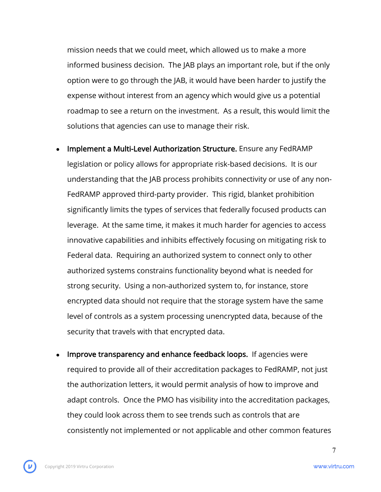mission needs that we could meet, which allowed us to make a more informed business decision. The JAB plays an important role, but if the only option were to go through the JAB, it would have been harder to justify the expense without interest from an agency which would give us a potential roadmap to see a return on the investment. As a result, this would limit the solutions that agencies can use to manage their risk.

- Implement a Multi-Level Authorization Structure. Ensure any FedRAMP legislation or policy allows for appropriate risk-based decisions. It is our understanding that the JAB process prohibits connectivity or use of any non-FedRAMP approved third-party provider. This rigid, blanket prohibition significantly limits the types of services that federally focused products can leverage. At the same time, it makes it much harder for agencies to access innovative capabilities and inhibits effectively focusing on mitigating risk to Federal data. Requiring an authorized system to connect only to other authorized systems constrains functionality beyond what is needed for strong security. Using a non-authorized system to, for instance, store encrypted data should not require that the storage system have the same level of controls as a system processing unencrypted data, because of the security that travels with that encrypted data.
- Improve transparency and enhance feedback loops. If agencies were required to provide all of their accreditation packages to FedRAMP, not just the authorization letters, it would permit analysis of how to improve and adapt controls. Once the PMO has visibility into the accreditation packages, they could look across them to see trends such as controls that are consistently not implemented or not applicable and other common features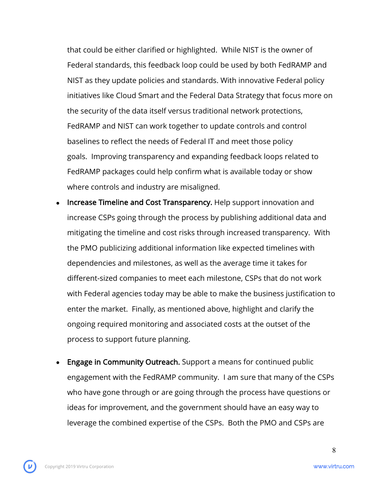that could be either clarified or highlighted. While NIST is the owner of Federal standards, this feedback loop could be used by both FedRAMP and NIST as they update policies and standards. With innovative Federal policy initiatives like Cloud Smart and the Federal Data Strategy that focus more on the security of the data itself versus traditional network protections, FedRAMP and NIST can work together to update controls and control baselines to reflect the needs of Federal IT and meet those policy goals. Improving transparency and expanding feedback loops related to FedRAMP packages could help confirm what is available today or show where controls and industry are misaligned.

- Increase Timeline and Cost Transparency. Help support innovation and increase CSPs going through the process by publishing additional data and mitigating the timeline and cost risks through increased transparency. With the PMO publicizing additional information like expected timelines with dependencies and milestones, as well as the average time it takes for different-sized companies to meet each milestone, CSPs that do not work with Federal agencies today may be able to make the business justification to enter the market. Finally, as mentioned above, highlight and clarify the ongoing required monitoring and associated costs at the outset of the process to support future planning.
- **Engage in Community Outreach.** Support a means for continued public engagement with the FedRAMP community. I am sure that many of the CSPs who have gone through or are going through the process have questions or ideas for improvement, and the government should have an easy way to leverage the combined expertise of the CSPs. Both the PMO and CSPs are